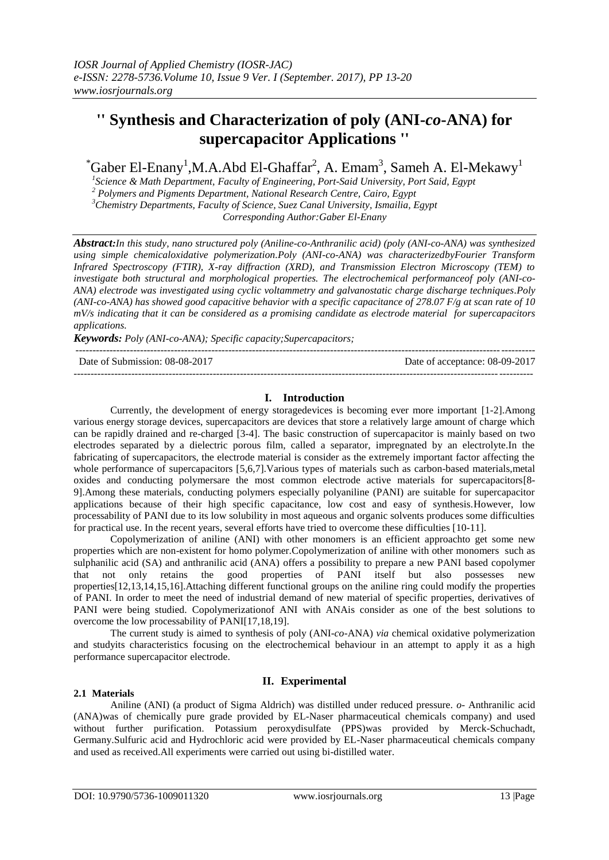# **'' Synthesis and Characterization of poly (ANI-***co***-ANA) for supercapacitor Applications ''**

\*Gaber El-Enany<sup>1</sup> ,M.A.Abd El-Ghaffar<sup>2</sup> , A. Emam<sup>3</sup> , Sameh A. El-Mekawy<sup>1</sup>

 *Science & Math Department, Faculty of Engineering, Port-Said University, Port Said, Egypt Polymers and Pigments Department, National Research Centre, Cairo, Egypt Chemistry Departments, Faculty of Science, Suez Canal University, Ismailia, Egypt Corresponding Author:Gaber El-Enany*

*Abstract:In this study, nano structured poly (Aniline-co-Anthranilic acid) (poly (ANI-co-ANA) was synthesized using simple chemicaloxidative polymerization.Poly (ANI-co-ANA) was characterizedbyFourier Transform Infrared Spectroscopy (FTIR), X-ray diffraction (XRD), and Transmission Electron Microscopy (TEM) to investigate both structural and morphological properties. The electrochemical performanceof poly (ANI-co-ANA) electrode was investigated using cyclic voltammetry and galvanostatic charge discharge techniques.Poly (ANI-co-ANA) has showed good capacitive behavior with a specific capacitance of 278.07 F/g at scan rate of 10 mV/s indicating that it can be considered as a promising candidate as electrode material for supercapacitors applications.*

*Keywords: Poly (ANI-co-ANA); Specific capacity;Supercapacitors;* 

--------------------------------------------------------------------------------------------------------------------------------------- Date of Submission: 08-08-2017 Date of acceptance: 08-09-2017 ---------------------------------------------------------------------------------------------------------------------------------------

## **I. Introduction**

Currently, the development of energy storagedevices is becoming ever more important [1-2].Among various energy storage devices, supercapacitors are devices that store a relatively large amount of charge which can be rapidly drained and re-charged [3-4]. The basic construction of supercapacitor is mainly based on two electrodes separated by a dielectric porous film, called a separator, impregnated by an electrolyte.In the fabricating of supercapacitors, the electrode material is consider as the extremely important factor affecting the whole performance of supercapacitors [5,6,7]. Various types of materials such as carbon-based materials,metal oxides and conducting polymersare the most common electrode active materials for supercapacitors[8- 9].Among these materials, conducting polymers especially polyaniline (PANI) are suitable for supercapacitor applications because of their high specific capacitance, low cost and easy of synthesis.However, low processability of PANI due to its low solubility in most aqueous and organic solvents produces some difficulties for practical use. In the recent years, several efforts have tried to overcome these difficulties [10-11].

Copolymerization of aniline (ANI) with other monomers is an efficient approachto get some new properties which are non-existent for homo polymer.Copolymerization of aniline with other monomers such as sulphanilic acid (SA) and anthranilic acid (ANA) offers a possibility to prepare a new PANI based copolymer that not only retains the good properties of PANI itself but also possesses new properties[12,13,14,15,16].Attaching different functional groups on the aniline ring could modify the properties of PANI. In order to meet the need of industrial demand of new material of specific properties, derivatives of PANI were being studied. Copolymerizationof ANI with ANAis consider as one of the best solutions to overcome the low processability of PANI[17,18,19].

The current study is aimed to synthesis of poly (ANI-*co*-ANA) *via* chemical oxidative polymerization and studyits characteristics focusing on the electrochemical behaviour in an attempt to apply it as a high performance supercapacitor electrode.

# **II. Experimental**

**2.1 Materials** 

Aniline (ANI) (a product of Sigma Aldrich) was distilled under reduced pressure. *o-* Anthranilic acid (ANA)was of chemically pure grade provided by EL-Naser pharmaceutical chemicals company) and used without further purification. Potassium peroxydisulfate (PPS)was provided by Merck-Schuchadt, Germany.Sulfuric acid and Hydrochloric acid were provided by EL-Naser pharmaceutical chemicals company and used as received.All experiments were carried out using bi-distilled water.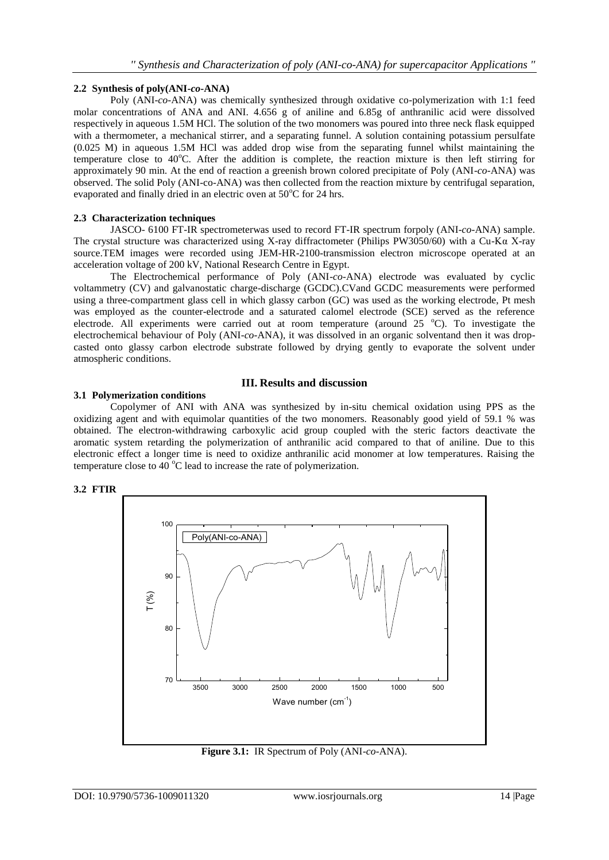## **2.2 Synthesis of poly(ANI-***co***-ANA)**

Poly (ANI-*co-*ANA) was chemically synthesized through oxidative co-polymerization with 1:1 feed molar concentrations of ANA and ANI. 4.656 g of aniline and 6.85g of anthranilic acid were dissolved respectively in aqueous 1.5M HCl. The solution of the two monomers was poured into three neck flask equipped with a thermometer, a mechanical stirrer, and a separating funnel. A solution containing potassium persulfate (0.025 M) in aqueous 1.5M HCl was added drop wise from the separating funnel whilst maintaining the temperature close to 40°C. After the addition is complete, the reaction mixture is then left stirring for approximately 90 min. At the end of reaction a greenish brown colored precipitate of Poly (ANI-*co*-ANA) was observed. The solid Poly (ANI-co-ANA) was then collected from the reaction mixture by centrifugal separation, evaporated and finally dried in an electric oven at  $50^{\circ}$ C for 24 hrs.

## **2.3 Characterization techniques**

JASCO- 6100 FT-IR spectrometerwas used to record FT-IR spectrum forpoly (ANI-*co*-ANA) sample. The crystal structure was characterized using X-ray diffractometer (Philips PW3050/60) with a Cu-K $\alpha$  X-ray source.TEM images were recorded using JEM-HR-2100-transmission electron microscope operated at an acceleration voltage of 200 kV, National Research Centre in Egypt.

The Electrochemical performance of Poly (ANI-*co*-ANA) electrode was evaluated by cyclic voltammetry (CV) and galvanostatic charge-discharge (GCDC).CVand GCDC measurements were performed using a three-compartment glass cell in which glassy carbon (GC) was used as the working electrode, Pt mesh was employed as the counter-electrode and a saturated calomel electrode (SCE) served as the reference electrode. All experiments were carried out at room temperature (around  $25\degree\text{C}$ ). To investigate the electrochemical behaviour of Poly (ANI-*co*-ANA), it was dissolved in an organic solventand then it was dropcasted onto glassy carbon electrode substrate followed by drying gently to evaporate the solvent under atmospheric conditions.

# **3.1 Polymerization conditions**

## **III. Results and discussion**

Copolymer of ANI with ANA was synthesized by in-situ chemical oxidation using PPS as the oxidizing agent and with equimolar quantities of the two monomers. Reasonably good yield of 59.1 % was obtained. The electron-withdrawing carboxylic acid group coupled with the steric factors deactivate the aromatic system retarding the polymerization of anthranilic acid compared to that of aniline. Due to this electronic effect a longer time is need to oxidize anthranilic acid monomer at low temperatures. Raising the temperature close to  $40^{\circ}$ C lead to increase the rate of polymerization.





**Figure 3.1:** IR Spectrum of Poly (ANI-*co*-ANA).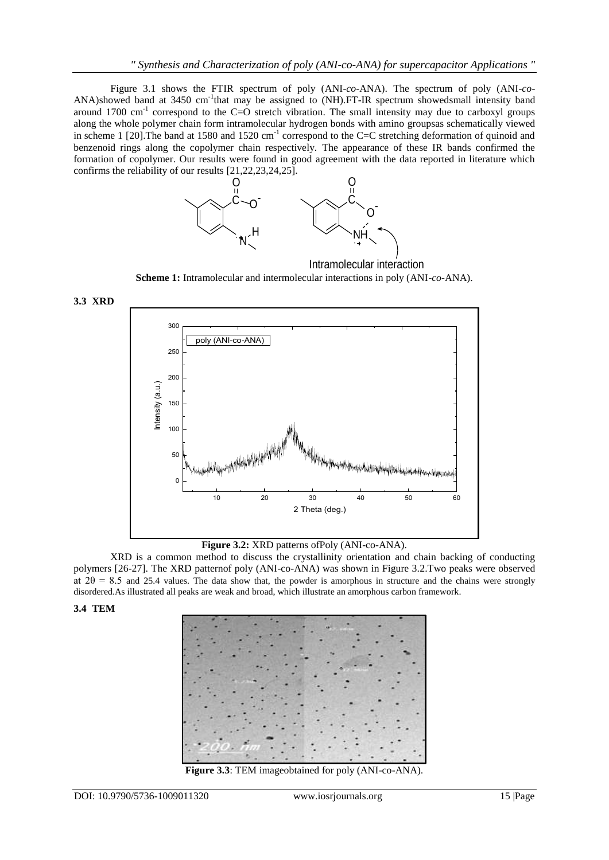Figure 3.1 shows the FTIR spectrum of poly (ANI-*co*-ANA). The spectrum of poly (ANI-*co*-ANA)showed band at 3450 cm<sup>-1</sup>that may be assigned to (NH).FT-IR spectrum showedsmall intensity band around 1700 cm<sup>-1</sup> correspond to the C=O stretch vibration. The small intensity may due to carboxyl groups along the whole polymer chain form intramolecular hydrogen bonds with amino groupsas schematically viewed in scheme 1 [20]. The band at 1580 and 1520  $cm^{-1}$  correspond to the C=C stretching deformation of quinoid and benzenoid rings along the copolymer chain respectively. The appearance of these IR bands confirmed the formation of copolymer. Our results were found in good agreement with the data reported in literature which confirms the reliability of our results [21,22,23,24,25].



**Scheme 1:** Intramolecular and intermolecular interactions in poly (ANI-*co*-ANA). Intramolecular interaction



**Figure 3.2:** XRD patterns ofPoly (ANI-co-ANA).

XRD is a common method to discuss the crystallinity orientation and chain backing of conducting polymers [26-27]. The XRD patternof poly (ANI-co-ANA) was shown in Figure 3.2.Two peaks were observed at  $2\theta = 8.5$  and 25.4 values. The data show that, the powder is amorphous in structure and the chains were strongly disordered.As illustrated all peaks are weak and broad, which illustrate an amorphous carbon framework.

## **3.4 TEM**



**Figure 3.3**: TEM imageobtained for poly (ANI-co-ANA).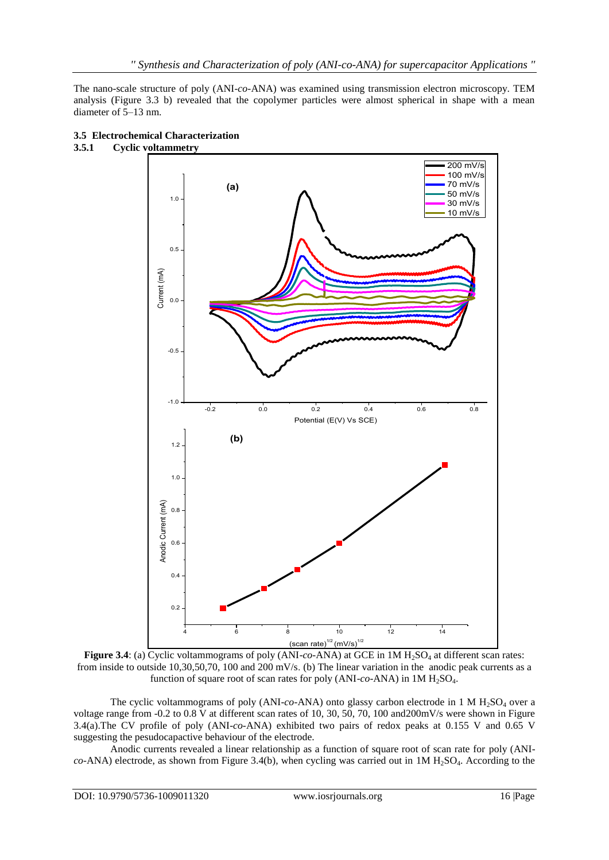The nano-scale structure of poly (ANI-*co-*ANA) was examined using transmission electron microscopy. TEM analysis (Figure 3.3 b) revealed that the copolymer particles were almost spherical in shape with a mean diameter of 5–13 nm.



### **3.5 Electrochemical Characterization 3.5.1 Cyclic voltammetry**

Figure 3.4: (a) Cyclic voltammograms of poly (ANI-*co*-ANA) at GCE in 1M H<sub>2</sub>SO<sub>4</sub> at different scan rates: from inside to outside 10,30,50,70, 100 and 200 mV/s. (b) The linear variation in the anodic peak currents as a function of square root of scan rates for poly  $(ANI-co-ANA)$  in  $1M H<sub>2</sub>SO<sub>4</sub>$ .

The cyclic voltammograms of poly  $(ANI-co-ANA)$  onto glassy carbon electrode in 1 M  $H_2SO_4$  over a voltage range from -0.2 to 0.8 V at different scan rates of 10, 30, 50, 70, 100 and200mV/s were shown in Figure 3.4(a).The CV profile of poly (ANI-*co-*ANA) exhibited two pairs of redox peaks at 0.155 V and 0.65 V suggesting the pesudocapactive behaviour of the electrode.

Anodic currents revealed a linear relationship as a function of square root of scan rate for poly (ANI $co-ANA$ ) electrode, as shown from Figure 3.4(b), when cycling was carried out in  $1M H<sub>2</sub>SO<sub>4</sub>$ . According to the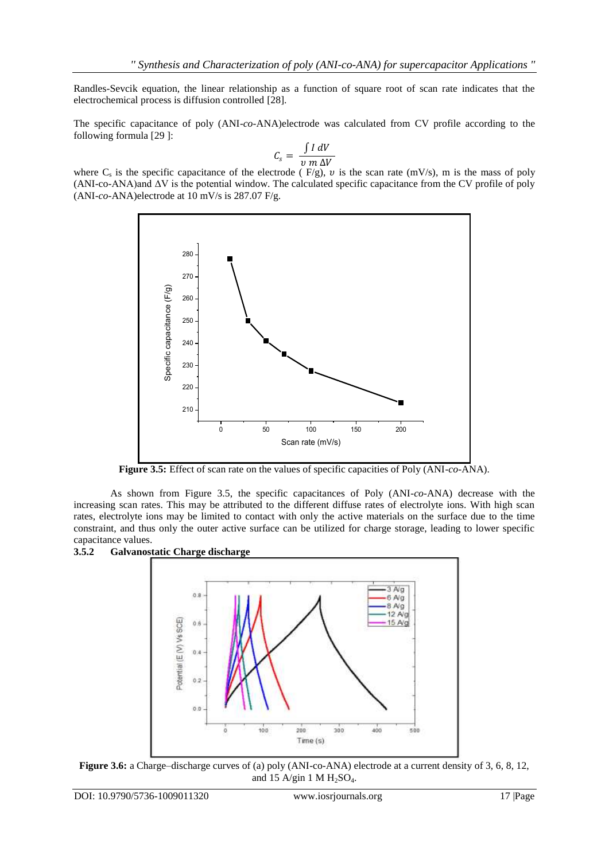Randles-Sevcik equation, the linear relationship as a function of square root of scan rate indicates that the electrochemical process is diffusion controlled [28].

The specific capacitance of poly (ANI-*co*-ANA)electrode was calculated from CV profile according to the following formula [29 ]:

$$
C_s = \frac{\int I \, dV}{v \, m \, \Delta V}
$$

where  $C_s$  is the specific capacitance of the electrode (F/g), v is the scan rate (mV/s), m is the mass of poly (ANI-co-ANA)and ΔV is the potential window. The calculated specific capacitance from the CV profile of poly (ANI-*co*-ANA)electrode at 10 mV/s is 287.07 F/g.



**Figure 3.5:** Effect of scan rate on the values of specific capacities of Poly (ANI-*co*-ANA).

As shown from Figure 3.5, the specific capacitances of Poly (ANI-*co*-ANA) decrease with the increasing scan rates. This may be attributed to the different diffuse rates of electrolyte ions. With high scan rates, electrolyte ions may be limited to contact with only the active materials on the surface due to the time constraint, and thus only the outer active surface can be utilized for charge storage, leading to lower specific capacitance values.





**Figure 3.6:** a Charge–discharge curves of (a) poly (ANI-co-ANA) electrode at a current density of 3, 6, 8, 12, and 15 A/gin 1 M  $H<sub>2</sub>SO<sub>4</sub>$ .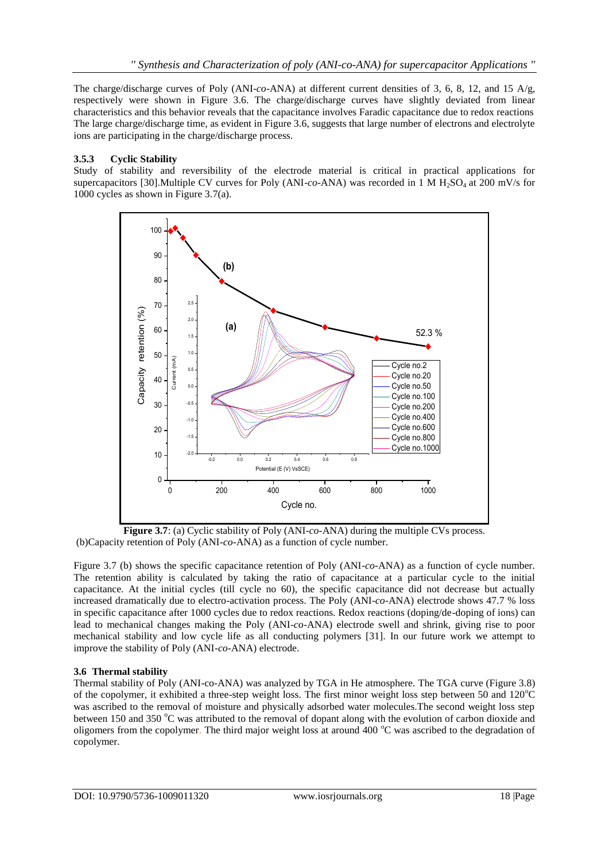The charge/discharge curves of Poly (ANI-*co*-ANA) at different current densities of 3, 6, 8, 12, and 15 A/g, respectively were shown in Figure 3.6. The charge/discharge curves have slightly deviated from linear characteristics and this behavior reveals that the capacitance involves Faradic capacitance due to redox reactions The large charge/discharge time, as evident in Figure 3.6, suggests that large number of electrons and electrolyte ions are participating in the charge/discharge process.

# **3.5.3 Cyclic Stability**

Study of stability and reversibility of the electrode material is critical in practical applications for supercapacitors [30].Multiple CV curves for Poly (ANI-*co*-ANA) was recorded in 1 M H<sub>2</sub>SO<sub>4</sub> at 200 mV/s for 1000 cycles as shown in Figure 3.7(a).



**Figure 3.7**: (a) Cyclic stability of Poly (ANI-*co-*ANA) during the multiple CVs process. (b)Capacity retention of Poly (ANI*-co*-ANA) as a function of cycle number.

Figure 3.7 (b) shows the specific capacitance retention of Poly (ANI-*co*-ANA) as a function of cycle number. The retention ability is calculated by taking the ratio of capacitance at a particular cycle to the initial capacitance. At the initial cycles (till cycle no 60), the specific capacitance did not decrease but actually increased dramatically due to electro-activation process. The Poly (ANI-*co*-ANA) electrode shows 47.7 % loss in specific capacitance after 1000 cycles due to redox reactions. Redox reactions (doping/de-doping of ions) can lead to mechanical changes making the Poly (ANI-*co*-ANA) electrode swell and shrink, giving rise to poor mechanical stability and low cycle life as all conducting polymers [31]. In our future work we attempt to improve the stability of Poly (ANI-*co*-ANA) electrode.

## **3.6 Thermal stability**

Thermal stability of Poly (ANI-co-ANA) was analyzed by TGA in He atmosphere. The TGA curve (Figure 3.8) of the copolymer, it exhibited a three-step weight loss. The first minor weight loss step between 50 and  $120^{\circ}$ C was ascribed to the removal of moisture and physically adsorbed water molecules.The second weight loss step between 150 and 350 °C was attributed to the removal of dopant along with the evolution of carbon dioxide and oligomers from the copolymer. The third major weight loss at around 400 °C was ascribed to the degradation of copolymer.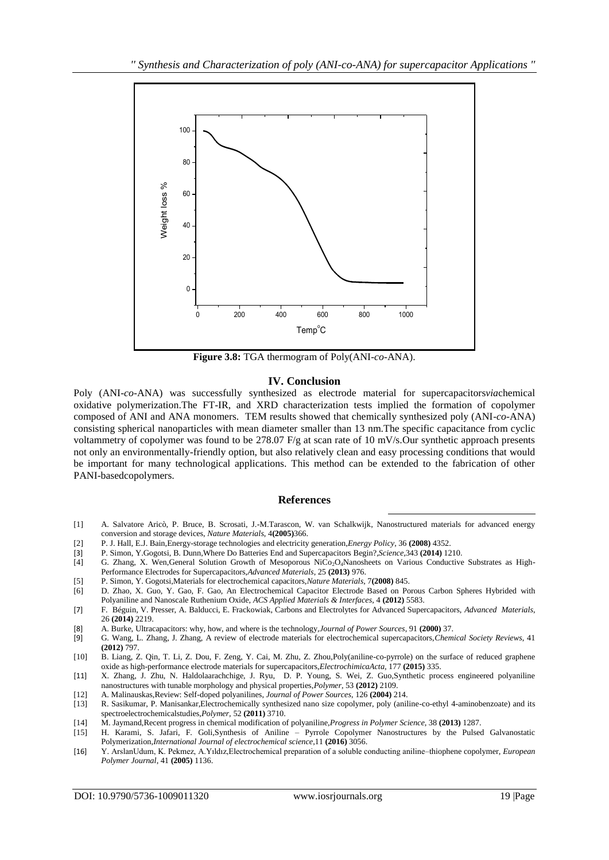

**Figure 3.8:** TGA thermogram of Poly(ANI-*co*-ANA).

## **IV. Conclusion**

Poly (ANI-*co*-ANA) was successfully synthesized as electrode material for supercapacitors*via*chemical oxidative polymerization.The FT-IR, and XRD characterization tests implied the formation of copolymer composed of ANI and ANA monomers. TEM results showed that chemically synthesized poly (ANI-*co*-ANA) consisting spherical nanoparticles with mean diameter smaller than 13 nm.The specific capacitance from cyclic voltammetry of copolymer was found to be 278.07 F/g at scan rate of 10 mV/s.Our synthetic approach presents not only an environmentally-friendly option, but also relatively clean and easy processing conditions that would be important for many technological applications. This method can be extended to the fabrication of other PANI-basedcopolymers.

#### **References**

[1] A. Salvatore Aricò, P. Bruce, B. Scrosati, J.-M.Tarascon, W. van Schalkwijk, Nanostructured materials for advanced energy conversion and storage devices, *Nature Materials*, 4**(2005)**366.

1

- [2] P. J. Hall, E.J. Bain,Energy-storage technologies and electricity generation,*Energy Policy*, 36 **(2008)** 4352.
- [3] P. Simon, Y.Gogotsi, B. Dunn,Where Do Batteries End and Supercapacitors Begin?*,Science*,343 **(2014)** 1210.
- G. Zhang, X. Wen,General Solution Growth of Mesoporous NiCo<sub>2</sub>O<sub>4</sub>Nanosheets on Various Conductive Substrates as High-Performance Electrodes for Supercapacitors,*Advanced Materials*, 25 **(2013)** 976.
- [5] P. Simon, Y. Gogotsi,Materials for electrochemical capacitors,*Nature Materials*, 7**(2008)** 845.
- [6] D. Zhao, X. Guo, Y. Gao, F. Gao, An Electrochemical Capacitor Electrode Based on Porous Carbon Spheres Hybrided with Polyaniline and Nanoscale Ruthenium Oxide, *ACS Applied Materials & Interfaces,* 4 **(2012)** 5583.
- [7] F. Béguin, V. Presser, A. Balducci, E. Frackowiak, Carbons and Electrolytes for Advanced Supercapacitors, *Advanced Materials*, 26 **(2014)** 2219.
- [8] A. Burke, Ultracapacitors: why, how, and where is the technology,*Journal of Power Sources*, 91 **(2000)** 37.
- [9] G. Wang, L. Zhang, J. Zhang, A review of electrode materials for electrochemical supercapacitors,*Chemical Society Reviews*, 41 **(2012)** 797.
- [10] B. Liang, Z. Qin, T. Li, Z. Dou, F. Zeng, Y. Cai, M. Zhu, Z. Zhou,Poly(aniline-co-pyrrole) on the surface of reduced graphene oxide as high-performance electrode materials for supercapacitors,*ElectrochimicaActa*, 177 **(2015)** 335.
- [11] X. Zhang, J. Zhu, N. Haldolaarachchige, J. Ryu, D. P. Young, S. Wei, Z. Guo,Synthetic process engineered polyaniline nanostructures with tunable morphology and physical properties,*Polymer*, 53 **(2012)** 2109.
- [12] A. Malinauskas,Review: Self-doped polyanilines, *Journal of Power Sources*, 126 **(2004)** 214.
- [13] R. Sasikumar, P. Manisankar,Electrochemically synthesized nano size copolymer, poly (aniline-co-ethyl 4-aminobenzoate) and its spectroelectrochemicalstudies,*Polymer,* 52 **(2011)** 3710.
- [14] M. Jaymand,Recent progress in chemical modification of polyaniline,*Progress in Polymer Science*, 38 **(2013)** 1287.
- [15] H. Karami, S. Jafari, F. Goli,Synthesis of Aniline Pyrrole Copolymer Nanostructures by the Pulsed Galvanostatic Polymerization,*International Journal of electrochemical science*,11 **(2016)** 3056.
- [16] Y. ArslanUdum, K. Pekmez, A.Yıldız,Electrochemical preparation of a soluble conducting aniline–thiophene copolymer, *European Polymer Journal*, 41 **(2005)** 1136.